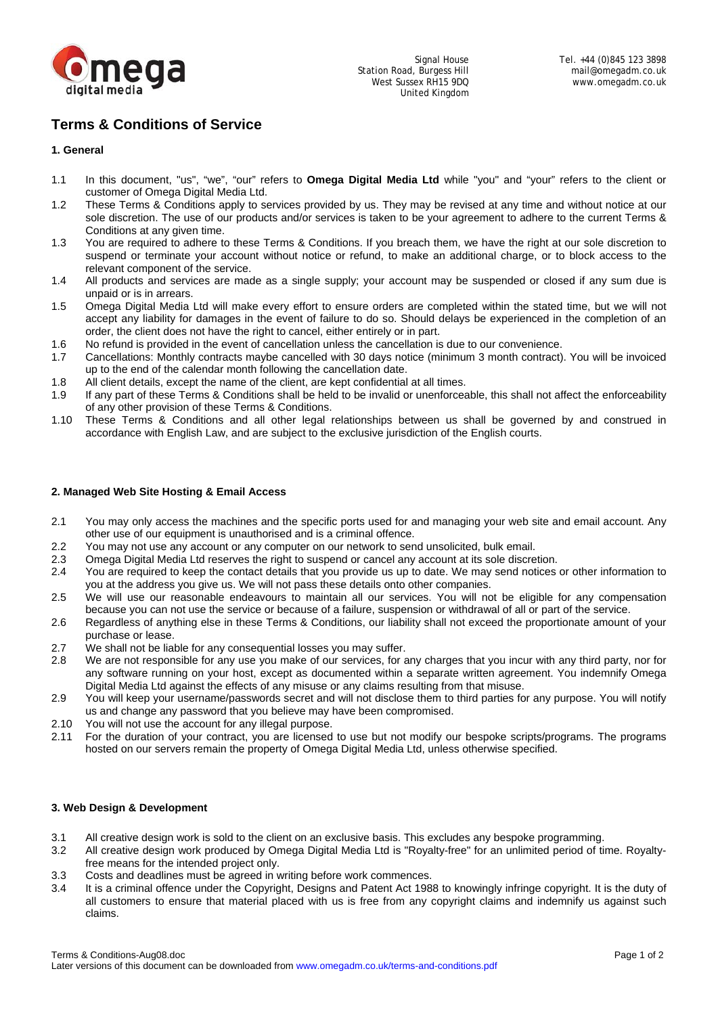

# **Terms & Conditions of Service**

# **1. General**

- 1.1 In this document, "us", "we", "our" refers to **Omega Digital Media Ltd** while "you" and "your" refers to the client or customer of Omega Digital Media Ltd.
- 1.2 These Terms & Conditions apply to services provided by us. They may be revised at any time and without notice at our sole discretion. The use of our products and/or services is taken to be your agreement to adhere to the current Terms & Conditions at any given time.
- 1.3 You are required to adhere to these Terms & Conditions. If you breach them, we have the right at our sole discretion to suspend or terminate your account without notice or refund, to make an additional charge, or to block access to the relevant component of the service.
- 1.4 All products and services are made as a single supply; your account may be suspended or closed if any sum due is unpaid or is in arrears.
- 1.5 Omega Digital Media Ltd will make every effort to ensure orders are completed within the stated time, but we will not accept any liability for damages in the event of failure to do so. Should delays be experienced in the completion of an order, the client does not have the right to cancel, either entirely or in part.
- 1.6 No refund is provided in the event of cancellation unless the cancellation is due to our convenience.
- 1.7 Cancellations: Monthly contracts maybe cancelled with 30 days notice (minimum 3 month contract). You will be invoiced up to the end of the calendar month following the cancellation date.
- 1.8 All client details, except the name of the client, are kept confidential at all times.
- 1.9 If any part of these Terms & Conditions shall be held to be invalid or unenforceable, this shall not affect the enforceability of any other provision of these Terms & Conditions.
- 1.10 These Terms & Conditions and all other legal relationships between us shall be governed by and construed in accordance with English Law, and are subject to the exclusive jurisdiction of the English courts.

## **2. Managed Web Site Hosting & Email Access**

- 2.1 You may only access the machines and the specific ports used for and managing your web site and email account. Any other use of our equipment is unauthorised and is a criminal offence.
- 2.2 You may not use any account or any computer on our network to send unsolicited, bulk email.<br>2.3 Omega Digital Media Ltd reserves the right to suspend or cancel any account at its sole discre
- 2.3 Omega Digital Media Ltd reserves the right to suspend or cancel any account at its sole discretion.
- 2.4 You are required to keep the contact details that you provide us up to date. We may send notices or other information to you at the address you give us. We will not pass these details onto other companies.
- 2.5 We will use our reasonable endeavours to maintain all our services. You will not be eligible for any compensation because you can not use the service or because of a failure, suspension or withdrawal of all or part of the service.
- 2.6 Regardless of anything else in these Terms & Conditions, our liability shall not exceed the proportionate amount of your purchase or lease.
- 2.7 We shall not be liable for any consequential losses you may suffer.
- 2.8 We are not responsible for any use you make of our services, for any charges that you incur with any third party, nor for any software running on your host, except as documented within a separate written agreement. You indemnify Omega Digital Media Ltd against the effects of any misuse or any claims resulting from that misuse.
- 2.9 You will keep your username/passwords secret and will not disclose them to third parties for any purpose. You will notify us and change any password that you believe may have been compromised.
- 2.10 You will not use the account for any illegal purpose.
- 2.11 For the duration of your contract, you are licensed to use but not modify our bespoke scripts/programs. The programs hosted on our servers remain the property of Omega Digital Media Ltd, unless otherwise specified.

### **3. Web Design & Development**

- 3.1 All creative design work is sold to the client on an exclusive basis. This excludes any bespoke programming.
- 3.2 All creative design work produced by Omega Digital Media Ltd is "Royalty-free" for an unlimited period of time. Royaltyfree means for the intended project only.
- 3.3 Costs and deadlines must be agreed in writing before work commences.
- 3.4 It is a criminal offence under the Copyright, Designs and Patent Act 1988 to knowingly infringe copyright. It is the duty of all customers to ensure that material placed with us is free from any copyright claims and indemnify us against such claims.